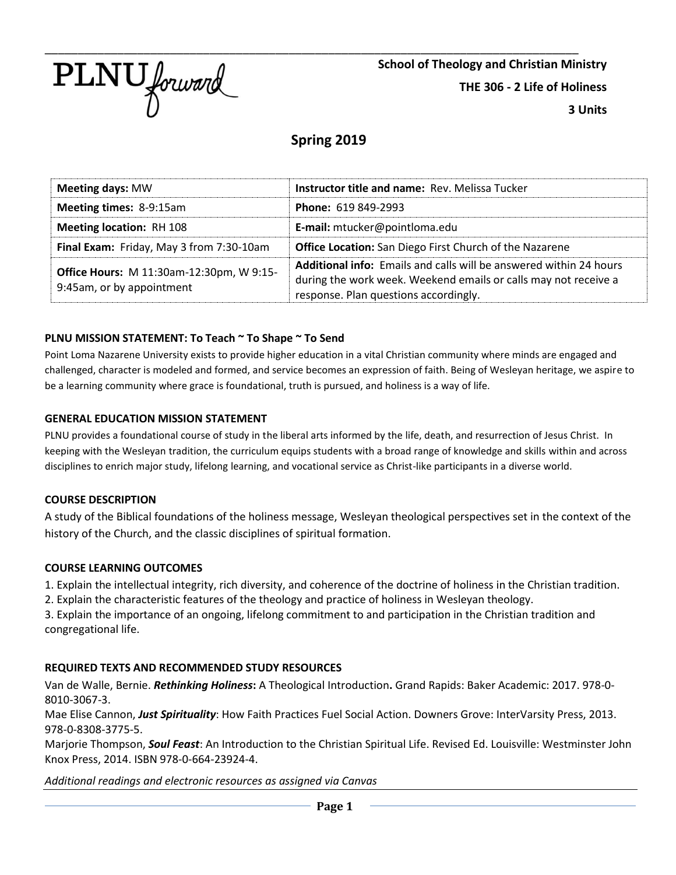

**School of Theology and Christian Ministry THE 306 - 2 Life of Holiness 3 Units**

# **Spring 2019**

| <b>Meeting days: MW</b>                                                      | <b>Instructor title and name: Rev. Melissa Tucker</b>                                                                                                                                 |  |  |
|------------------------------------------------------------------------------|---------------------------------------------------------------------------------------------------------------------------------------------------------------------------------------|--|--|
| <b>Meeting times: 8-9:15am</b>                                               | Phone: 619 849-2993                                                                                                                                                                   |  |  |
| <b>Meeting location: RH 108</b>                                              | E-mail: mtucker@pointloma.edu                                                                                                                                                         |  |  |
| Final Exam: Friday, May 3 from 7:30-10am                                     | <b>Office Location:</b> San Diego First Church of the Nazarene                                                                                                                        |  |  |
| <b>Office Hours: M 11:30am-12:30pm, W 9:15-</b><br>9:45am, or by appointment | <b>Additional info:</b> Emails and calls will be answered within 24 hours<br>during the work week. Weekend emails or calls may not receive a<br>response. Plan questions accordingly. |  |  |

## **PLNU MISSION STATEMENT: To Teach ~ To Shape ~ To Send**

Point Loma Nazarene University exists to provide higher education in a vital Christian community where minds are engaged and challenged, character is modeled and formed, and service becomes an expression of faith. Being of Wesleyan heritage, we aspire to be a learning community where grace is foundational, truth is pursued, and holiness is a way of life.

## **GENERAL EDUCATION MISSION STATEMENT**

PLNU provides a foundational course of study in the liberal arts informed by the life, death, and resurrection of Jesus Christ. In keeping with the Wesleyan tradition, the curriculum equips students with a broad range of knowledge and skills within and across disciplines to enrich major study, lifelong learning, and vocational service as Christ-like participants in a diverse world.

#### **COURSE DESCRIPTION**

A study of the Biblical foundations of the holiness message, Wesleyan theological perspectives set in the context of the history of the Church, and the classic disciplines of spiritual formation.

#### **COURSE LEARNING OUTCOMES**

1. Explain the intellectual integrity, rich diversity, and coherence of the doctrine of holiness in the Christian tradition.

2. Explain the characteristic features of the theology and practice of holiness in Wesleyan theology.

3. Explain the importance of an ongoing, lifelong commitment to and participation in the Christian tradition and congregational life.

# **REQUIRED TEXTS AND RECOMMENDED STUDY RESOURCES**

Van de Walle, Bernie. *Rethinking Holiness***:** A Theological Introduction**.** Grand Rapids: Baker Academic: 2017. 978-0- 8010-3067-3.

Mae Elise Cannon, *Just Spirituality*: How Faith Practices Fuel Social Action. Downers Grove: InterVarsity Press, 2013. 978-0-8308-3775-5.

Marjorie Thompson, *Soul Feast*: An Introduction to the Christian Spiritual Life. Revised Ed. Louisville: Westminster John Knox Press, 2014. ISBN 978-0-664-23924-4.

*Additional readings and electronic resources as assigned via Canvas*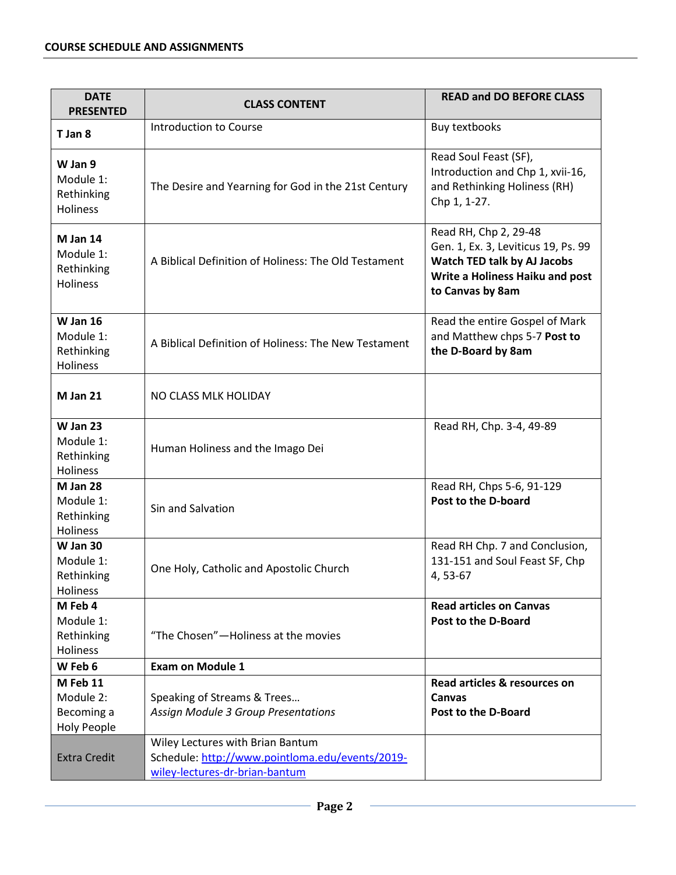| <b>DATE</b><br><b>PRESENTED</b>                           | <b>CLASS CONTENT</b>                                                                                                  | <b>READ and DO BEFORE CLASS</b>                                                                                                                    |  |
|-----------------------------------------------------------|-----------------------------------------------------------------------------------------------------------------------|----------------------------------------------------------------------------------------------------------------------------------------------------|--|
| T Jan 8                                                   | Introduction to Course                                                                                                | Buy textbooks                                                                                                                                      |  |
| W Jan 9<br>Module 1:<br>Rethinking<br>Holiness            | The Desire and Yearning for God in the 21st Century                                                                   | Read Soul Feast (SF),<br>Introduction and Chp 1, xvii-16,<br>and Rethinking Holiness (RH)<br>Chp 1, 1-27.                                          |  |
| M Jan 14<br>Module 1:<br>Rethinking<br>Holiness           | A Biblical Definition of Holiness: The Old Testament                                                                  | Read RH, Chp 2, 29-48<br>Gen. 1, Ex. 3, Leviticus 19, Ps. 99<br>Watch TED talk by AJ Jacobs<br>Write a Holiness Haiku and post<br>to Canvas by 8am |  |
| <b>W</b> Jan 16<br>Module 1:<br>Rethinking<br>Holiness    | A Biblical Definition of Holiness: The New Testament                                                                  | Read the entire Gospel of Mark<br>and Matthew chps 5-7 Post to<br>the D-Board by 8am                                                               |  |
| M Jan 21                                                  | NO CLASS MLK HOLIDAY                                                                                                  |                                                                                                                                                    |  |
| <b>W Jan 23</b><br>Module 1:<br>Rethinking<br>Holiness    | Human Holiness and the Imago Dei                                                                                      | Read RH, Chp. 3-4, 49-89                                                                                                                           |  |
| M Jan 28<br>Module 1:<br>Rethinking<br>Holiness           | Sin and Salvation                                                                                                     | Read RH, Chps 5-6, 91-129<br>Post to the D-board                                                                                                   |  |
| W Jan 30<br>Module 1:<br>Rethinking<br>Holiness           | One Holy, Catholic and Apostolic Church                                                                               | Read RH Chp. 7 and Conclusion,<br>131-151 and Soul Feast SF, Chp<br>4,53-67                                                                        |  |
| M Feb 4<br>Module 1:<br>Rethinking<br>Holiness            | "The Chosen" - Holiness at the movies                                                                                 | <b>Read articles on Canvas</b><br><b>Post to the D-Board</b>                                                                                       |  |
| W Feb 6                                                   | <b>Exam on Module 1</b>                                                                                               |                                                                                                                                                    |  |
| M Feb 11<br>Module 2:<br>Becoming a<br><b>Holy People</b> | Speaking of Streams & Trees<br><b>Assign Module 3 Group Presentations</b>                                             | Read articles & resources on<br>Canvas<br>Post to the D-Board                                                                                      |  |
| <b>Extra Credit</b>                                       | Wiley Lectures with Brian Bantum<br>Schedule: http://www.pointloma.edu/events/2019-<br>wiley-lectures-dr-brian-bantum |                                                                                                                                                    |  |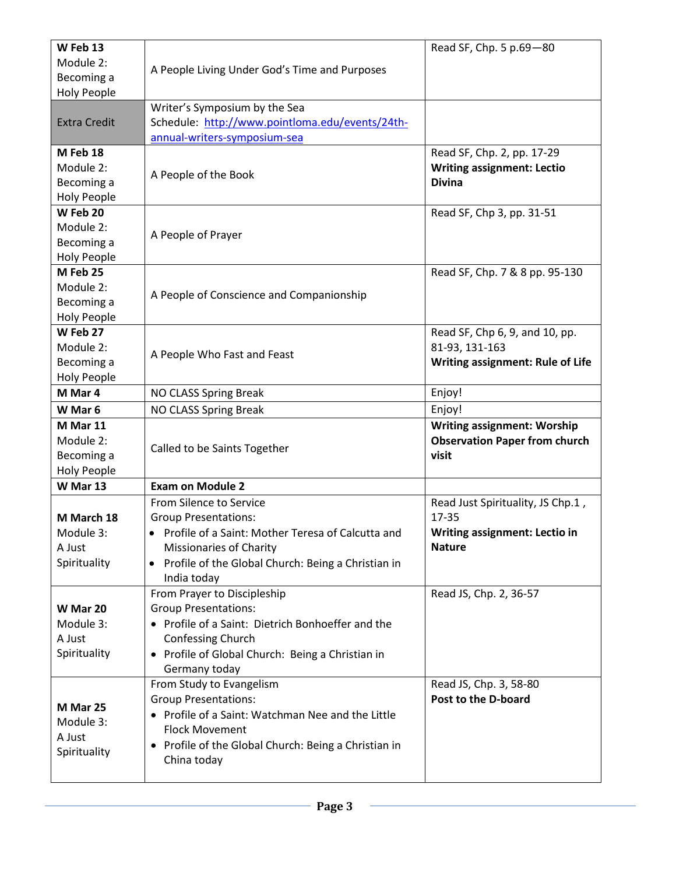| W Feb 13<br>Module 2:<br>Becoming a<br><b>Holy People</b>                                                                                                                                                                                                       | A People Living Under God's Time and Purposes                                                                                                                                                                 | Read SF, Chp. 5 p.69-80                                                                             |
|-----------------------------------------------------------------------------------------------------------------------------------------------------------------------------------------------------------------------------------------------------------------|---------------------------------------------------------------------------------------------------------------------------------------------------------------------------------------------------------------|-----------------------------------------------------------------------------------------------------|
| <b>Extra Credit</b>                                                                                                                                                                                                                                             | Writer's Symposium by the Sea<br>Schedule: http://www.pointloma.edu/events/24th-<br>annual-writers-symposium-sea                                                                                              |                                                                                                     |
| M Feb 18<br>Module 2:<br>Becoming a<br><b>Holy People</b>                                                                                                                                                                                                       | A People of the Book                                                                                                                                                                                          | Read SF, Chp. 2, pp. 17-29<br><b>Writing assignment: Lectio</b><br><b>Divina</b>                    |
| W Feb 20<br>Module 2:<br>Becoming a<br><b>Holy People</b>                                                                                                                                                                                                       | A People of Prayer                                                                                                                                                                                            | Read SF, Chp 3, pp. 31-51                                                                           |
| M Feb 25<br>Module 2:<br>Becoming a<br><b>Holy People</b>                                                                                                                                                                                                       | A People of Conscience and Companionship                                                                                                                                                                      | Read SF, Chp. 7 & 8 pp. 95-130                                                                      |
| W Feb 27<br>Module 2:<br>Becoming a<br>Holy People                                                                                                                                                                                                              | A People Who Fast and Feast                                                                                                                                                                                   | Read SF, Chp 6, 9, and 10, pp.<br>81-93, 131-163<br><b>Writing assignment: Rule of Life</b>         |
| M Mar 4                                                                                                                                                                                                                                                         | NO CLASS Spring Break                                                                                                                                                                                         | Enjoy!                                                                                              |
| W Mar 6                                                                                                                                                                                                                                                         | NO CLASS Spring Break                                                                                                                                                                                         | Enjoy!                                                                                              |
| M Mar 11<br>Module 2:<br>Becoming a<br>Holy People                                                                                                                                                                                                              | Called to be Saints Together                                                                                                                                                                                  | <b>Writing assignment: Worship</b><br><b>Observation Paper from church</b><br>visit                 |
| W Mar 13                                                                                                                                                                                                                                                        | <b>Exam on Module 2</b>                                                                                                                                                                                       |                                                                                                     |
| M March 18<br>Module 3:<br>A Just<br>Spirituality                                                                                                                                                                                                               | From Silence to Service<br><b>Group Presentations:</b><br>Profile of a Saint: Mother Teresa of Calcutta and<br>Missionaries of Charity<br>• Profile of the Global Church: Being a Christian in<br>India today | Read Just Spirituality, JS Chp.1,<br>17-35<br><b>Writing assignment: Lectio in</b><br><b>Nature</b> |
| W Mar 20<br>Module 3:<br>A Just<br>Spirituality                                                                                                                                                                                                                 | From Prayer to Discipleship<br><b>Group Presentations:</b><br>• Profile of a Saint: Dietrich Bonhoeffer and the<br>Confessing Church<br>• Profile of Global Church: Being a Christian in<br>Germany today     | Read JS, Chp. 2, 36-57                                                                              |
| From Study to Evangelism<br><b>Group Presentations:</b><br>M Mar 25<br>• Profile of a Saint: Watchman Nee and the Little<br>Module 3:<br><b>Flock Movement</b><br>A Just<br>• Profile of the Global Church: Being a Christian in<br>Spirituality<br>China today |                                                                                                                                                                                                               | Read JS, Chp. 3, 58-80<br>Post to the D-board                                                       |

÷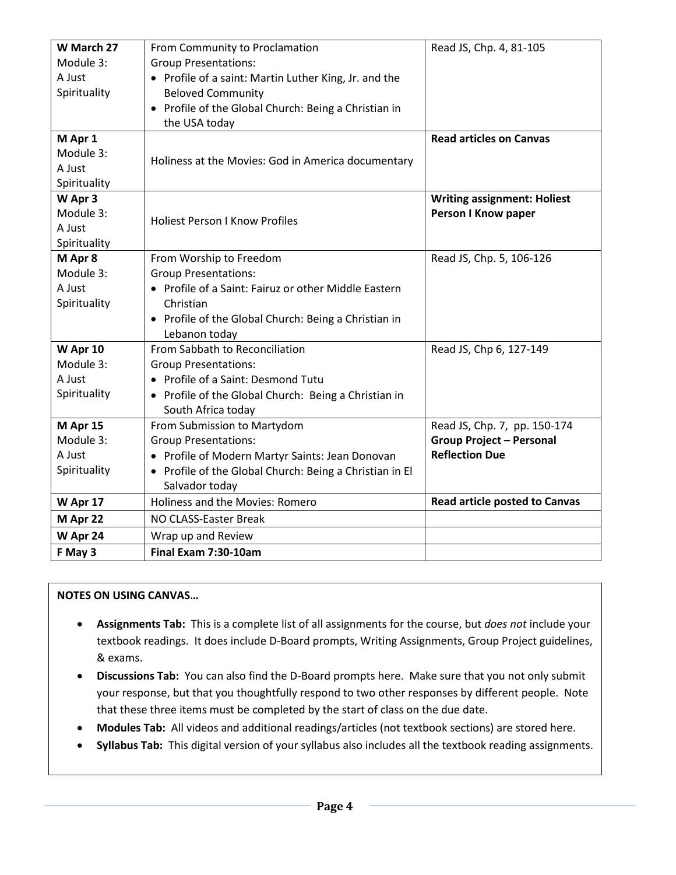| W March 27<br>Module 3:<br>A Just<br>Spirituality | From Community to Proclamation<br><b>Group Presentations:</b><br>• Profile of a saint: Martin Luther King, Jr. and the<br><b>Beloved Community</b><br>• Profile of the Global Church: Being a Christian in<br>the USA today | Read JS, Chp. 4, 81-105                                                                  |
|---------------------------------------------------|-----------------------------------------------------------------------------------------------------------------------------------------------------------------------------------------------------------------------------|------------------------------------------------------------------------------------------|
| M Apr 1<br>Module 3:<br>A Just<br>Spirituality    | Holiness at the Movies: God in America documentary                                                                                                                                                                          | <b>Read articles on Canvas</b>                                                           |
| W Apr 3<br>Module 3:<br>A Just<br>Spirituality    | <b>Holiest Person I Know Profiles</b>                                                                                                                                                                                       | <b>Writing assignment: Holiest</b><br>Person I Know paper                                |
| M Apr 8<br>Module 3:<br>A Just<br>Spirituality    | From Worship to Freedom<br><b>Group Presentations:</b><br>• Profile of a Saint: Fairuz or other Middle Eastern<br>Christian<br>• Profile of the Global Church: Being a Christian in<br>Lebanon today                        | Read JS, Chp. 5, 106-126                                                                 |
| W Apr 10<br>Module 3:<br>A Just<br>Spirituality   | From Sabbath to Reconciliation<br><b>Group Presentations:</b><br>• Profile of a Saint: Desmond Tutu<br>• Profile of the Global Church: Being a Christian in<br>South Africa today                                           | Read JS, Chp 6, 127-149                                                                  |
| M Apr 15<br>Module 3:<br>A Just<br>Spirituality   | From Submission to Martydom<br><b>Group Presentations:</b><br>• Profile of Modern Martyr Saints: Jean Donovan<br>• Profile of the Global Church: Being a Christian in El<br>Salvador today                                  | Read JS, Chp. 7, pp. 150-174<br><b>Group Project - Personal</b><br><b>Reflection Due</b> |
| W Apr 17                                          | Holiness and the Movies: Romero                                                                                                                                                                                             | <b>Read article posted to Canvas</b>                                                     |
| M Apr 22                                          | NO CLASS-Easter Break                                                                                                                                                                                                       |                                                                                          |
| W Apr 24                                          | Wrap up and Review                                                                                                                                                                                                          |                                                                                          |
| F May 3                                           | Final Exam 7:30-10am                                                                                                                                                                                                        |                                                                                          |

# **NOTES ON USING CANVAS…**

- **Assignments Tab:** This is a complete list of all assignments for the course, but *does not* include your textbook readings. It does include D-Board prompts, Writing Assignments, Group Project guidelines, & exams.
- **Discussions Tab:** You can also find the D-Board prompts here. Make sure that you not only submit your response, but that you thoughtfully respond to two other responses by different people. Note that these three items must be completed by the start of class on the due date.
- **Modules Tab:** All videos and additional readings/articles (not textbook sections) are stored here.
- **Syllabus Tab:** This digital version of your syllabus also includes all the textbook reading assignments.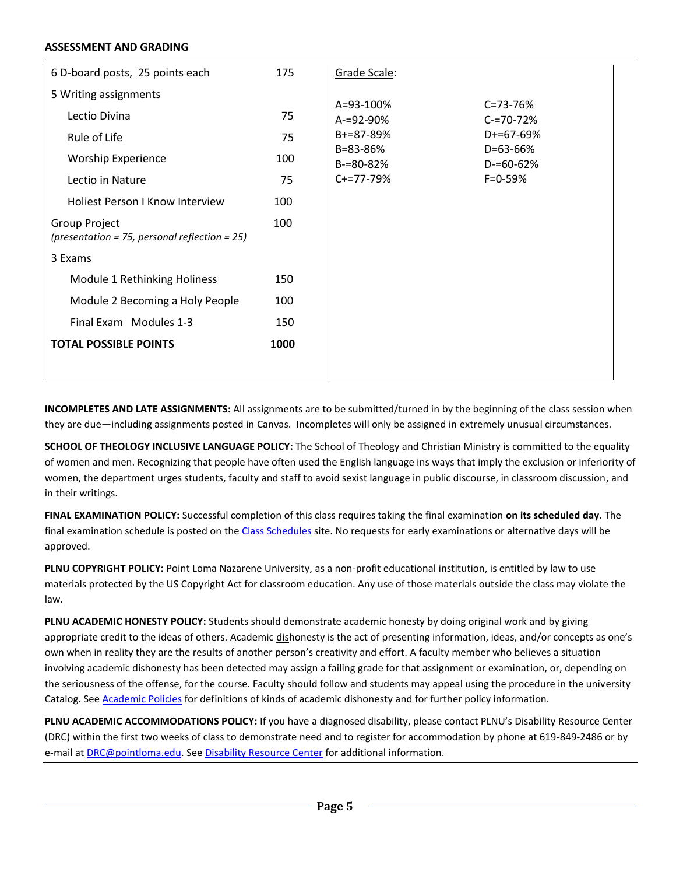#### **ASSESSMENT AND GRADING**

| 6 D-board posts, 25 points each                                | 175  | Grade Scale:               |                                  |
|----------------------------------------------------------------|------|----------------------------|----------------------------------|
| 5 Writing assignments                                          |      |                            |                                  |
| Lectio Divina                                                  | 75   | A=93-100%<br>A-=92-90%     | $C = 73 - 76%$<br>$C = 70 - 72%$ |
| Rule of Life                                                   | 75   | B+=87-89%                  | D+=67-69%                        |
| <b>Worship Experience</b>                                      | 100  | B=83-86%<br>$B = 80 - 82%$ | D=63-66%<br>$D = 60 - 62%$       |
| Lectio in Nature                                               | 75   | $C+=77-79%$                | $F = 0.59%$                      |
| <b>Holiest Person I Know Interview</b>                         | 100  |                            |                                  |
| Group Project<br>(presentation = 75, personal reflection = 25) | 100  |                            |                                  |
| 3 Exams                                                        |      |                            |                                  |
| Module 1 Rethinking Holiness                                   | 150  |                            |                                  |
| Module 2 Becoming a Holy People                                | 100  |                            |                                  |
| Final Exam Modules 1-3                                         | 150  |                            |                                  |
| <b>TOTAL POSSIBLE POINTS</b>                                   | 1000 |                            |                                  |
|                                                                |      |                            |                                  |

**INCOMPLETES AND LATE ASSIGNMENTS:** All assignments are to be submitted/turned in by the beginning of the class session when they are due—including assignments posted in Canvas. Incompletes will only be assigned in extremely unusual circumstances.

**SCHOOL OF THEOLOGY INCLUSIVE LANGUAGE POLICY:** The School of Theology and Christian Ministry is committed to the equality of women and men. Recognizing that people have often used the English language ins ways that imply the exclusion or inferiority of women, the department urges students, faculty and staff to avoid sexist language in public discourse, in classroom discussion, and in their writings.

**FINAL EXAMINATION POLICY:** Successful completion of this class requires taking the final examination **on its scheduled day**. The final examination schedule is posted on the [Class Schedules](http://www.pointloma.edu/experience/academics/class-schedules) site. No requests for early examinations or alternative days will be approved.

**PLNU COPYRIGHT POLICY:** Point Loma Nazarene University, as a non-profit educational institution, is entitled by law to use materials protected by the US Copyright Act for classroom education. Any use of those materials outside the class may violate the law.

**PLNU ACADEMIC HONESTY POLICY:** Students should demonstrate academic honesty by doing original work and by giving appropriate credit to the ideas of others. Academic dishonesty is the act of presenting information, ideas, and/or concepts as one's own when in reality they are the results of another person's creativity and effort. A faculty member who believes a situation involving academic dishonesty has been detected may assign a failing grade for that assignment or examination, or, depending on the seriousness of the offense, for the course. Faculty should follow and students may appeal using the procedure in the university Catalog. Se[e Academic Policies](http://catalog.pointloma.edu/content.php?catoid=18&navoid=1278) for definitions of kinds of academic dishonesty and for further policy information.

**PLNU ACADEMIC ACCOMMODATIONS POLICY:** If you have a diagnosed disability, please contact PLNU's Disability Resource Center (DRC) within the first two weeks of class to demonstrate need and to register for accommodation by phone at 619-849-2486 or by e-mail a[t DRC@pointloma.edu.](mailto:DRC@pointloma.edu) See [Disability Resource Center](http://www.pointloma.edu/experience/offices/administrative-offices/academic-advising-office/disability-resource-center) for additional information.